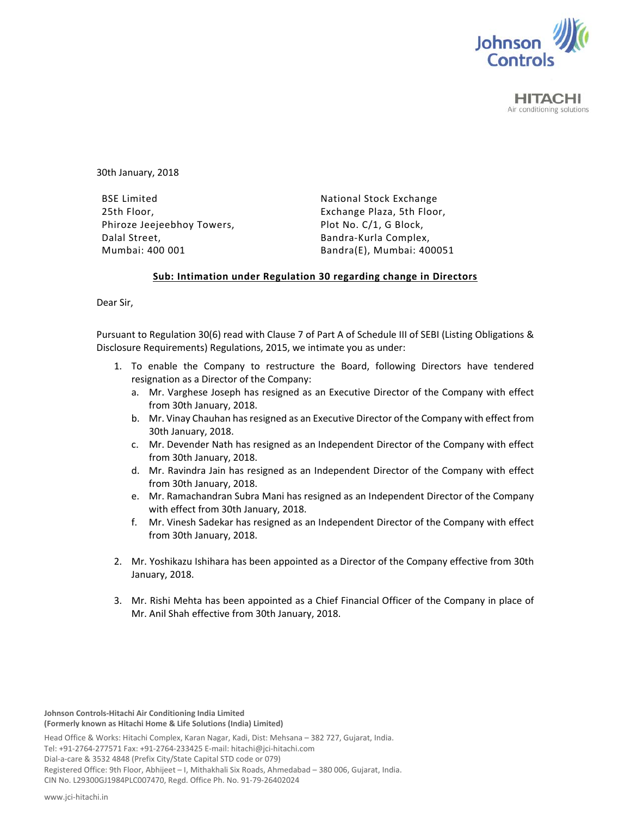

**HITACHI** Air conditioning solutions

30th January, 2018

BSE Limited 25th Floor, Phiroze Jeejeebhoy Towers, Dalal Street, Mumbai: 400 001

National Stock Exchange Exchange Plaza, 5th Floor, Plot No. C/1, G Block, Bandra‐Kurla Complex, Bandra(E), Mumbai: 400051

## **Sub: Intimation under Regulation 30 regarding change in Directors**

Dear Sir,

Pursuant to Regulation 30(6) read with Clause 7 of Part A of Schedule III of SEBI (Listing Obligations & Disclosure Requirements) Regulations, 2015, we intimate you as under:

- 1. To enable the Company to restructure the Board, following Directors have tendered resignation as a Director of the Company:
	- a. Mr. Varghese Joseph has resigned as an Executive Director of the Company with effect from 30th January, 2018.
	- b. Mr. Vinay Chauhan has resigned as an Executive Director of the Company with effect from 30th January, 2018.
	- c. Mr. Devender Nath has resigned as an Independent Director of the Company with effect from 30th January, 2018.
	- d. Mr. Ravindra Jain has resigned as an Independent Director of the Company with effect from 30th January, 2018.
	- e. Mr. Ramachandran Subra Mani has resigned as an Independent Director of the Company with effect from 30th January, 2018.
	- f. Mr. Vinesh Sadekar has resigned as an Independent Director of the Company with effect from 30th January, 2018.
- 2. Mr. Yoshikazu Ishihara has been appointed as a Director of the Company effective from 30th January, 2018.
- 3. Mr. Rishi Mehta has been appointed as a Chief Financial Officer of the Company in place of Mr. Anil Shah effective from 30th January, 2018.

**Johnson Controls‐Hitachi Air Conditioning India Limited (Formerly known as Hitachi Home & Life Solutions (India) Limited)**

Head Office & Works: Hitachi Complex, Karan Nagar, Kadi, Dist: Mehsana – 382 727, Gujarat, India. Tel: +91‐2764‐277571 Fax: +91‐2764‐233425 E‐mail: hitachi@jci‐hitachi.com Dial‐a‐care & 3532 4848 (Prefix City/State Capital STD code or 079) Registered Office: 9th Floor, Abhijeet – I, Mithakhali Six Roads, Ahmedabad – 380 006, Gujarat, India. CIN No. L29300GJ1984PLC007470, Regd. Office Ph. No. 91‐79‐26402024